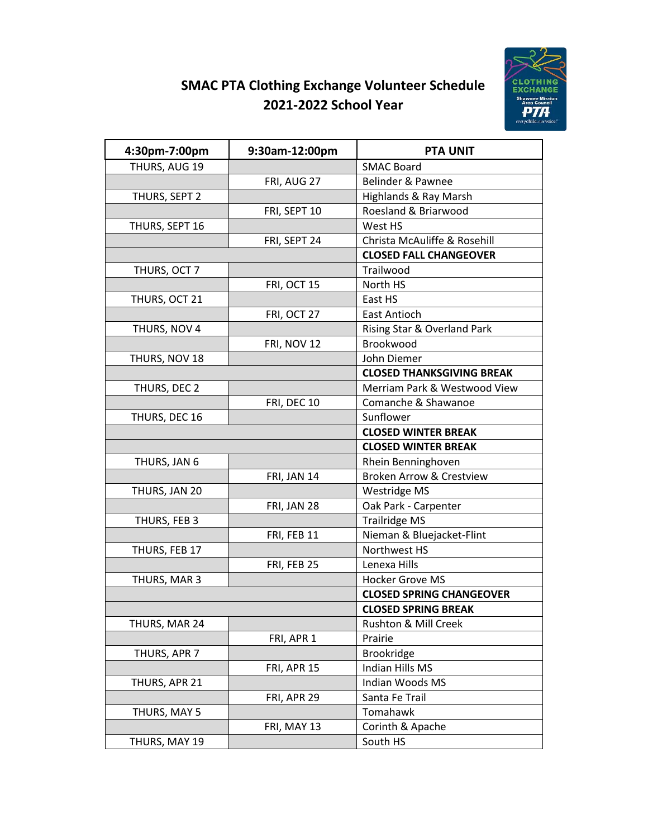# **SMAC PTA Clothing Exchange Volunteer Schedule 2021-2022 School Year**



| 4:30pm-7:00pm  | 9:30am-12:00pm | <b>PTA UNIT</b>                     |
|----------------|----------------|-------------------------------------|
| THURS, AUG 19  |                | <b>SMAC Board</b>                   |
|                | FRI, AUG 27    | Belinder & Pawnee                   |
| THURS, SEPT 2  |                | Highlands & Ray Marsh               |
|                | FRI, SEPT 10   | Roesland & Briarwood                |
| THURS, SEPT 16 |                | West HS                             |
|                | FRI, SEPT 24   | Christa McAuliffe & Rosehill        |
|                |                | <b>CLOSED FALL CHANGEOVER</b>       |
| THURS, OCT 7   |                | Trailwood                           |
|                | FRI, OCT 15    | North HS                            |
| THURS, OCT 21  |                | East HS                             |
|                | FRI, OCT 27    | <b>East Antioch</b>                 |
| THURS, NOV 4   |                | Rising Star & Overland Park         |
|                | FRI, NOV 12    | Brookwood                           |
| THURS, NOV 18  |                | John Diemer                         |
|                |                | <b>CLOSED THANKSGIVING BREAK</b>    |
| THURS, DEC 2   |                | Merriam Park & Westwood View        |
|                | FRI, DEC 10    | Comanche & Shawanoe                 |
| THURS, DEC 16  |                | Sunflower                           |
|                |                | <b>CLOSED WINTER BREAK</b>          |
|                |                | <b>CLOSED WINTER BREAK</b>          |
| THURS, JAN 6   |                | Rhein Benninghoven                  |
|                | FRI, JAN 14    | <b>Broken Arrow &amp; Crestview</b> |
| THURS, JAN 20  |                | Westridge MS                        |
|                | FRI, JAN 28    | Oak Park - Carpenter                |
| THURS, FEB 3   |                | <b>Trailridge MS</b>                |
|                | FRI, FEB 11    | Nieman & Bluejacket-Flint           |
| THURS, FEB 17  |                | Northwest HS                        |
|                | FRI, FEB 25    | Lenexa Hills                        |
| THURS, MAR 3   |                | <b>Hocker Grove MS</b>              |
|                |                | <b>CLOSED SPRING CHANGEOVER</b>     |
|                |                | <b>CLOSED SPRING BREAK</b>          |
| THURS, MAR 24  |                | Rushton & Mill Creek                |
|                | FRI, APR 1     | Prairie                             |
| THURS, APR 7   |                | Brookridge                          |
|                | FRI, APR 15    | Indian Hills MS                     |
| THURS, APR 21  |                | Indian Woods MS                     |
|                | FRI, APR 29    | Santa Fe Trail                      |
| THURS, MAY 5   |                | Tomahawk                            |
|                | FRI, MAY 13    | Corinth & Apache                    |
| THURS, MAY 19  |                | South HS                            |